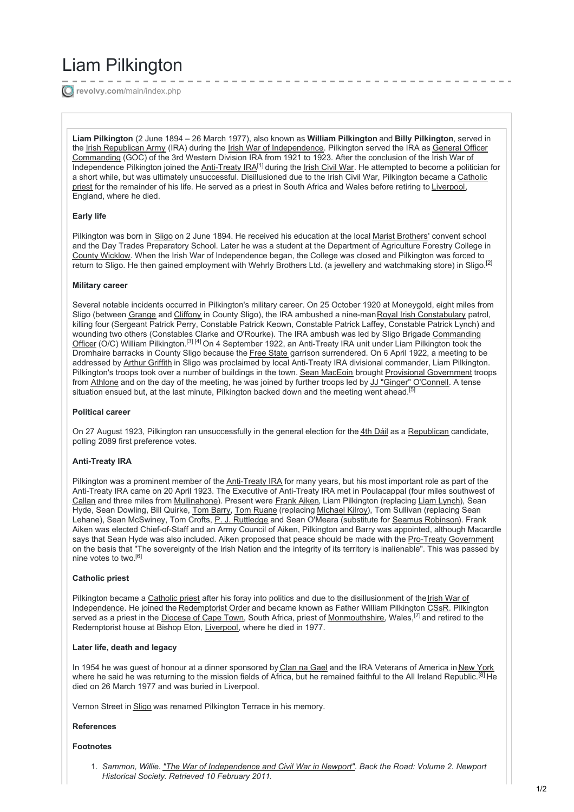# Liam Pilkington

**revolvy.com**[/main/index.php](https://www.revolvy.com/main/index.php?s=Liam+Pilkington&item_type=topic)

**Liam Pilkington** (2 June 1894 – 26 March 1977), also known as **William Pilkington** and **Billy Pilkington**, served in the Irish [Republican](https://www.revolvy.com/main/index.php?s=Irish+Republican+Army&item_type=topic) Army (IRA) during the Irish War of [Independence.](https://www.revolvy.com/main/index.php?s=General+Officer+Commanding&item_type=topic) Pilkington served the IRA as General Officer Commanding (GOC) of the 3rd Western Division IRA from 1921 to 1923. After the conclusion of the Irish War of Independence Pilkington joined the [Anti-Treaty](https://www.revolvy.com/main/index.php?s=Anti-Treaty+IRA&item_type=topic) IRA<sup>[1]</sup> during the *Irish [Civil](https://www.revolvy.com/main/index.php?s=Irish+Civil+War&item_type=topic) War*. He attempted to become a politician for a short while, but was ultimately [unsuccessful.](https://www.revolvy.com/main/index.php?s=Catholic+priest&item_type=topic) Disillusioned due to the Irish Civil War, Pilkington became a Catholic priest for the remainder of his life. He served as a priest in South Africa and Wales before retiring to [Liverpool](https://www.revolvy.com/main/index.php?s=Liverpool&item_type=topic), England, where he died.

## **Early life**

Pilkington was born in [Sligo](https://www.revolvy.com/main/index.php?s=Sligo&item_type=topic) on 2 June 1894. He received his education at the local Marist [Brothers](https://www.revolvy.com/main/index.php?s=Marist+Brothers&item_type=topic)' convent school and the Day Trades Preparatory School. Later he was a student at the Department of Agriculture Forestry College in County [Wicklow](https://www.revolvy.com/main/index.php?s=County+Wicklow&item_type=topic). When the Irish War of Independence began, the College was closed and Pilkington was forced to return to Sligo. He then gained employment with Wehrly Brothers Ltd. (a jewellery and watchmaking store) in Sligo.<sup>[2]</sup>

#### **Military career**

Several notable incidents occurred in Pilkington's military career. On 25 October 1920 at Moneygold, eight miles from Sligo (between [Grange](https://www.revolvy.com/main/index.php?s=Grange,+County+Sligo&item_type=topic) and [Cliffony](https://www.revolvy.com/main/index.php?s=Cliffony&item_type=topic) in County Sligo), the IRA ambushed a nine-manRoyal Irish [Constabulary](https://www.revolvy.com/main/index.php?s=Royal+Irish+Constabulary&item_type=topic) patrol, killing four (Sergeant Patrick Perry, Constable Patrick Keown, Constable Patrick Laffey, Constable Patrick Lynch) and wounding two others (Constables Clarke and O'Rourke). The IRA ambush was led by Sligo Brigade [Commanding](https://www.revolvy.com/main/index.php?s=Commanding+Officer&item_type=topic) Officer (O/C) William Pilkington.<sup>[3] [4]</sup> On 4 September 1922, an Anti-Treaty IRA unit under Liam Pilkington took the Dromhaire barracks in County Sligo because the Free [State](https://www.revolvy.com/main/index.php?s=Irish+Free+State&item_type=topic) garrison surrendered. On 6 April 1922, a meeting to be addressed by Arthur [Griffith](https://www.revolvy.com/main/index.php?s=Arthur+Griffith&item_type=topic) in Sligo was proclaimed by local Anti-Treaty IRA divisional commander, Liam Pilkington. Pilkington's troops took over a number of buildings in the town. Sean [MacEoin](https://www.revolvy.com/main/index.php?s=Sean+MacEoin&item_type=topic) brought Provisional [Government](https://www.revolvy.com/main/index.php?s=Provisional+Government+of+the+Irish+Free+State&item_type=topic) troops from [Athlone](https://www.revolvy.com/main/index.php?s=Athlone&item_type=topic) and on the day of the meeting, he was joined by further troops led by JJ "Ginger" [O'Connell](https://www.revolvy.com/main/index.php?s=JJ+%22Ginger%22+O%27Connell&item_type=topic). A tense situation ensued but, at the last minute, Pilkington backed down and the meeting went ahead.<sup>[5]</sup>

## **Political career**

On 27 August 1923, Pilkington ran unsuccessfully in the general election for the 4th [Dáil](https://www.revolvy.com/main/index.php?s=4th+D%C3%A1il&item_type=topic) as a [Republican](https://www.revolvy.com/main/index.php?s=Irish+republicanism&item_type=topic) candidate, polling 2089 first preference votes.

#### **Anti-Treaty IRA**

Pilkington was a prominent member of the [Anti-Treaty](https://www.revolvy.com/main/index.php?s=Anti-Treaty+IRA&item_type=topic) IRA for many years, but his most important role as part of the Anti-Treaty IRA came on 20 April 1923. The Executive of Anti-Treaty IRA met in Poulacappal (four miles southwest of [Callan](https://www.revolvy.com/main/index.php?s=Callan,+County+Kilkenny&item_type=topic) and three miles from [Mullinahone](https://www.revolvy.com/main/index.php?s=Mullinahone&item_type=topic)). Present were [Frank](https://www.revolvy.com/main/index.php?s=Frank+Aiken&item_type=topic) Aiken, Liam Pilkington (replacing Liam [Lynch](https://www.revolvy.com/main/index.php?s=Liam+Lynch+(Irish+republican)&item_type=topic)), Sean Hyde, Sean Dowling, Bill Quirke, Tom [Barry](https://www.revolvy.com/main/index.php?s=Tom+Barry+(soldier)&item_type=topic), Tom [Ruane](https://www.revolvy.com/main/index.php?s=Tom+Ruane&item_type=topic) (replacing [Michael](https://www.revolvy.com/main/index.php?s=Michael+Kilroy&item_type=topic) Kilroy), Tom Sullivan (replacing Sean Lehane), Sean McSwiney, Tom Crofts, P. J. [Ruttledge](https://www.revolvy.com/main/index.php?s=P.+J.+Ruttledge&item_type=topic) and Sean O'Meara (substitute for Seamus [Robinson](https://www.revolvy.com/main/index.php?s=Seamus+Robinson+(Irish+Republican)&item_type=topic)). Frank Aiken was elected Chief-of-Staff and an Army Council of Aiken, Pilkington and Barry was appointed, although Macardle says that Sean Hyde was also included. Aiken proposed that peace should be made with the Pro-Treaty [Government](https://www.revolvy.com/main/index.php?s=Provisional+Government+of+Ireland&item_type=topic) on the basis that "The sovereignty of the Irish Nation and the integrity of its territory is inalienable". This was passed by nine votes to two. [6]

#### **Catholic priest**

Pilkington became a [Catholic](https://www.revolvy.com/main/index.php?s=Catholic+priest&item_type=topic) priest after his foray into politics and due to the disillusionment of the Irish War of [Independence.](https://www.revolvy.com/main/index.php?s=Irish+War+of+Independence&item_type=topic) He joined the [Redemptorist](https://www.revolvy.com/main/index.php?s=Redemptorist+Order&item_type=topic) Order and became known as Father William Pilkington [CSsR](https://www.revolvy.com/main/index.php?s=Congregation+of+the+Most+Holy+Redeemer&item_type=topic). Pilkington served as a priest in the <u>[Diocese](https://www.revolvy.com/main/index.php?s=Roman+Catholic+Archdiocese+of+Cape+Town&item_type=topic) of Cape Town</u>, South Africa, priest of <u>[Monmouthshire](https://www.revolvy.com/main/index.php?s=Monmouthshire&item_type=topic)</u>, Wales,<sup>[7]</sup> and retired to the Redemptorist house at Bishop Eton, [Liverpool](https://www.revolvy.com/main/index.php?s=Liverpool&item_type=topic), where he died in 1977.

#### **Later life, death and legacy**

In 1954 he was guest of honour at a dinner sponsored by [Clan](https://www.revolvy.com/main/index.php?s=Clan+na+Gael&item_type=topic) na Gael and the IRA Veterans of America in [New](https://www.revolvy.com/main/index.php?s=New+York+City&item_type=topic) York where he said he was returning to the mission fields of Africa, but he remained faithful to the All Ireland Republic.<sup>[8]</sup> He died on 26 March 1977 and was buried in Liverpool.

Vernon Street in [Sligo](https://www.revolvy.com/main/index.php?s=Sligo&item_type=topic) was renamed Pilkington Terrace in his memory.

#### **References**

#### **Footnotes**

1. *Sammon, Willie. "The War of [Independence](http://www.cuanmodh.ie/newporthistsoc/war.html) and Civil War in Newport". Back the Road: Volume 2. Newport Historical Society. Retrieved 10 February 2011.*